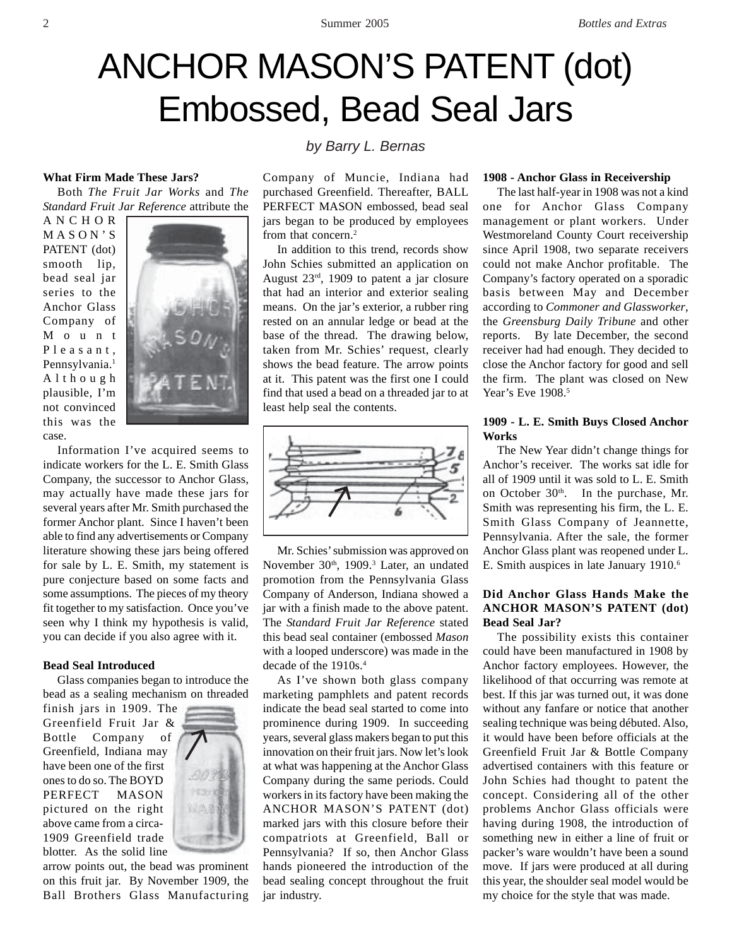# ANCHOR MASON'S PATENT (dot) Embossed, Bead Seal Jars

#### **What Firm Made These Jars?**

Both *The Fruit Jar Works* and *The Standard Fruit Jar Reference* attribute the

ANCHOR MASON'S PATENT (dot) smooth lip, bead seal jar series to the Anchor Glass Company of Mount Pleasant, Pennsylvania.<sup>1</sup> Although plausible, I'm not convinced this was the case.



Information I've acquired seems to indicate workers for the L. E. Smith Glass Company, the successor to Anchor Glass, may actually have made these jars for several years after Mr. Smith purchased the former Anchor plant. Since I haven't been able to find any advertisements or Company literature showing these jars being offered for sale by L. E. Smith, my statement is pure conjecture based on some facts and some assumptions. The pieces of my theory fit together to my satisfaction. Once you've seen why I think my hypothesis is valid, you can decide if you also agree with it.

#### **Bead Seal Introduced**

Glass companies began to introduce the bead as a sealing mechanism on threaded finish jars in 1909. The

Greenfield Fruit Jar & Bottle Company of Greenfield, Indiana may have been one of the first ones to do so. The BOYD PERFECT MASON pictured on the right above came from a circa-1909 Greenfield trade blotter. As the solid line



arrow points out, the bead was prominent on this fruit jar. By November 1909, the Ball Brothers Glass Manufacturing

# *by Barry L. Bernas*

Company of Muncie, Indiana had purchased Greenfield. Thereafter, BALL PERFECT MASON embossed, bead seal jars began to be produced by employees from that concern.<sup>2</sup>

In addition to this trend, records show John Schies submitted an application on August 23rd, 1909 to patent a jar closure that had an interior and exterior sealing means. On the jar's exterior, a rubber ring rested on an annular ledge or bead at the base of the thread. The drawing below, taken from Mr. Schies' request, clearly shows the bead feature. The arrow points at it. This patent was the first one I could find that used a bead on a threaded jar to at least help seal the contents.



Mr. Schies' submission was approved on November 30<sup>th</sup>, 1909.<sup>3</sup> Later, an undated promotion from the Pennsylvania Glass Company of Anderson, Indiana showed a jar with a finish made to the above patent. The *Standard Fruit Jar Reference* stated this bead seal container (embossed *Mason* with a looped underscore) was made in the decade of the 1910s.<sup>4</sup>

As I've shown both glass company marketing pamphlets and patent records indicate the bead seal started to come into prominence during 1909. In succeeding years, several glass makers began to put this innovation on their fruit jars. Now let's look at what was happening at the Anchor Glass Company during the same periods. Could workers in its factory have been making the ANCHOR MASON'S PATENT (dot) marked jars with this closure before their compatriots at Greenfield, Ball or Pennsylvania? If so, then Anchor Glass hands pioneered the introduction of the bead sealing concept throughout the fruit jar industry.

### **1908 - Anchor Glass in Receivership**

The last half-year in 1908 was not a kind one for Anchor Glass Company management or plant workers. Under Westmoreland County Court receivership since April 1908, two separate receivers could not make Anchor profitable. The Company's factory operated on a sporadic basis between May and December according to *Commoner and Glassworker*, the *Greensburg Daily Tribune* and other reports. By late December, the second receiver had had enough. They decided to close the Anchor factory for good and sell the firm. The plant was closed on New Year's Eve 1908.<sup>5</sup>

# **1909 - L. E. Smith Buys Closed Anchor Works**

The New Year didn't change things for Anchor's receiver. The works sat idle for all of 1909 until it was sold to L. E. Smith on October 30<sup>th</sup>. In the purchase, Mr. Smith was representing his firm, the L. E. Smith Glass Company of Jeannette, Pennsylvania. After the sale, the former Anchor Glass plant was reopened under L. E. Smith auspices in late January 1910.6

# **Did Anchor Glass Hands Make the ANCHOR MASON'S PATENT (dot) Bead Seal Jar?**

The possibility exists this container could have been manufactured in 1908 by Anchor factory employees. However, the likelihood of that occurring was remote at best. If this jar was turned out, it was done without any fanfare or notice that another sealing technique was being débuted. Also, it would have been before officials at the Greenfield Fruit Jar & Bottle Company advertised containers with this feature or John Schies had thought to patent the concept. Considering all of the other problems Anchor Glass officials were having during 1908, the introduction of something new in either a line of fruit or packer's ware wouldn't have been a sound move. If jars were produced at all during this year, the shoulder seal model would be my choice for the style that was made.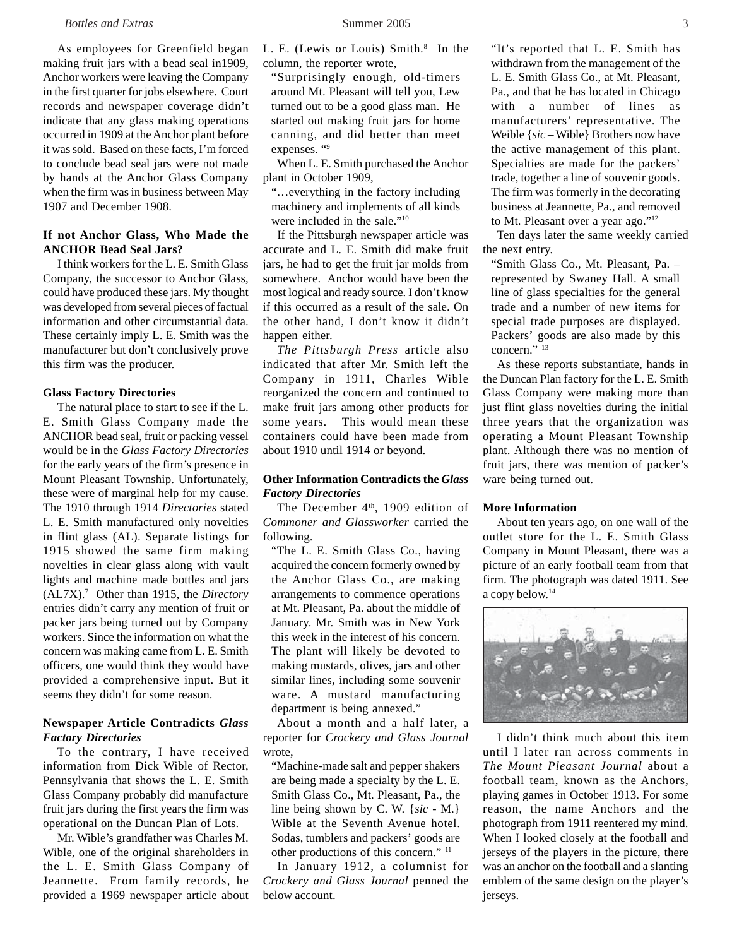#### *Bottles and Extras* 3 **3 Summer 2005** 3 **3**

As employees for Greenfield began making fruit jars with a bead seal in1909, Anchor workers were leaving the Company in the first quarter for jobs elsewhere. Court records and newspaper coverage didn't indicate that any glass making operations occurred in 1909 at the Anchor plant before it was sold. Based on these facts, I'm forced to conclude bead seal jars were not made by hands at the Anchor Glass Company when the firm was in business between May 1907 and December 1908.

# **If not Anchor Glass, Who Made the ANCHOR Bead Seal Jars?**

I think workers for the L. E. Smith Glass Company, the successor to Anchor Glass, could have produced these jars. My thought was developed from several pieces of factual information and other circumstantial data. These certainly imply L. E. Smith was the manufacturer but don't conclusively prove this firm was the producer.

#### **Glass Factory Directories**

The natural place to start to see if the L. E. Smith Glass Company made the ANCHOR bead seal, fruit or packing vessel would be in the *Glass Factory Directories* for the early years of the firm's presence in Mount Pleasant Township. Unfortunately, these were of marginal help for my cause. The 1910 through 1914 *Directories* stated L. E. Smith manufactured only novelties in flint glass (AL). Separate listings for 1915 showed the same firm making novelties in clear glass along with vault lights and machine made bottles and jars (AL7X).7 Other than 1915, the *Directory* entries didn't carry any mention of fruit or packer jars being turned out by Company workers. Since the information on what the concern was making came from L. E. Smith officers, one would think they would have provided a comprehensive input. But it seems they didn't for some reason.

# **Newspaper Article Contradicts** *Glass Factory Directories*

To the contrary, I have received information from Dick Wible of Rector, Pennsylvania that shows the L. E. Smith Glass Company probably did manufacture fruit jars during the first years the firm was operational on the Duncan Plan of Lots.

Mr. Wible's grandfather was Charles M. Wible, one of the original shareholders in the L. E. Smith Glass Company of Jeannette. From family records, he provided a 1969 newspaper article about

L. E. (Lewis or Louis) Smith.<sup>8</sup> In the column, the reporter wrote,

"Surprisingly enough, old-timers around Mt. Pleasant will tell you, Lew turned out to be a good glass man. He started out making fruit jars for home canning, and did better than meet expenses. "9

When L. E. Smith purchased the Anchor plant in October 1909,

"…everything in the factory including machinery and implements of all kinds were included in the sale."10

If the Pittsburgh newspaper article was accurate and L. E. Smith did make fruit jars, he had to get the fruit jar molds from somewhere. Anchor would have been the most logical and ready source. I don't know if this occurred as a result of the sale. On the other hand, I don't know it didn't happen either.

*The Pittsburgh Press* article also indicated that after Mr. Smith left the Company in 1911, Charles Wible reorganized the concern and continued to make fruit jars among other products for some years. This would mean these containers could have been made from about 1910 until 1914 or beyond.

# **Other Information Contradicts the** *Glass Factory Directories*

The December 4<sup>th</sup>, 1909 edition of *Commoner and Glassworker* carried the following.

"The L. E. Smith Glass Co., having acquired the concern formerly owned by the Anchor Glass Co., are making arrangements to commence operations at Mt. Pleasant, Pa. about the middle of January. Mr. Smith was in New York this week in the interest of his concern. The plant will likely be devoted to making mustards, olives, jars and other similar lines, including some souvenir ware. A mustard manufacturing department is being annexed."

About a month and a half later, a reporter for *Crockery and Glass Journal* wrote,

"Machine-made salt and pepper shakers are being made a specialty by the L. E. Smith Glass Co., Mt. Pleasant, Pa., the line being shown by C. W. {*sic* - M.} Wible at the Seventh Avenue hotel. Sodas, tumblers and packers' goods are other productions of this concern." 11

In January 1912, a columnist for *Crockery and Glass Journal* penned the below account.

"It's reported that L. E. Smith has withdrawn from the management of the L. E. Smith Glass Co., at Mt. Pleasant, Pa., and that he has located in Chicago with a number of lines as manufacturers' representative. The Weible {*sic* – Wible} Brothers now have the active management of this plant. Specialties are made for the packers' trade, together a line of souvenir goods. The firm was formerly in the decorating business at Jeannette, Pa., and removed to Mt. Pleasant over a year ago."12

Ten days later the same weekly carried the next entry.

"Smith Glass Co., Mt. Pleasant, Pa. – represented by Swaney Hall. A small line of glass specialties for the general trade and a number of new items for special trade purposes are displayed. Packers' goods are also made by this concern." 13

As these reports substantiate, hands in the Duncan Plan factory for the L. E. Smith Glass Company were making more than just flint glass novelties during the initial three years that the organization was operating a Mount Pleasant Township plant. Although there was no mention of fruit jars, there was mention of packer's ware being turned out.

# **More Information**

About ten years ago, on one wall of the outlet store for the L. E. Smith Glass Company in Mount Pleasant, there was a picture of an early football team from that firm. The photograph was dated 1911. See a copy below.14



I didn't think much about this item until I later ran across comments in *The Mount Pleasant Journal* about a football team, known as the Anchors, playing games in October 1913. For some reason, the name Anchors and the photograph from 1911 reentered my mind. When I looked closely at the football and jerseys of the players in the picture, there was an anchor on the football and a slanting emblem of the same design on the player's jerseys.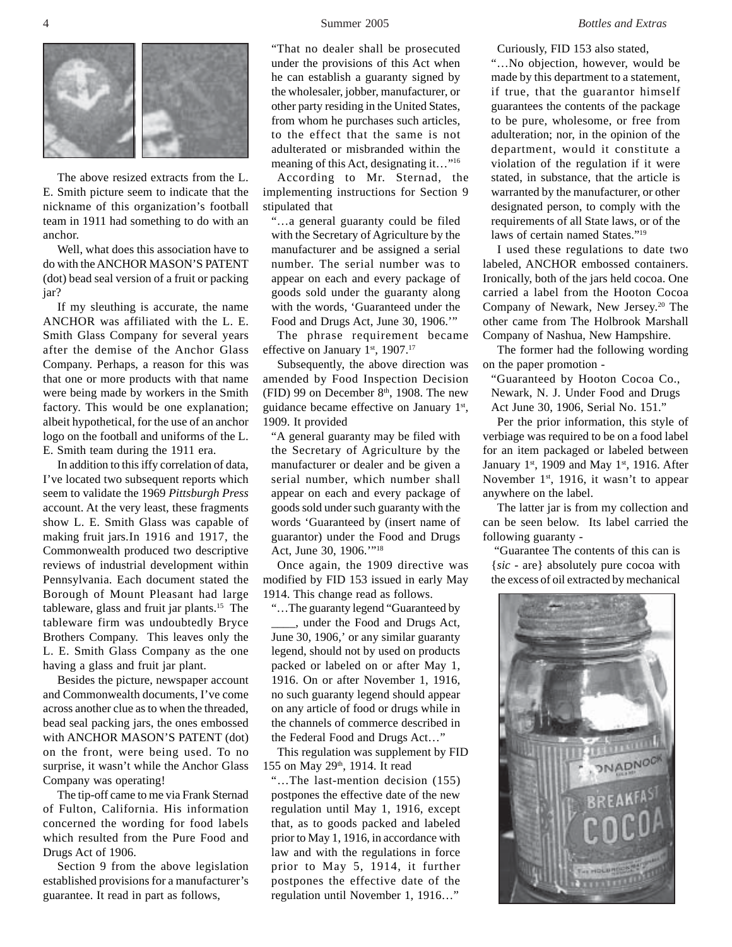

The above resized extracts from the L. E. Smith picture seem to indicate that the nickname of this organization's football team in 1911 had something to do with an anchor.

Well, what does this association have to do with the ANCHOR MASON'S PATENT (dot) bead seal version of a fruit or packing jar?

If my sleuthing is accurate, the name ANCHOR was affiliated with the L. E. Smith Glass Company for several years after the demise of the Anchor Glass Company. Perhaps, a reason for this was that one or more products with that name were being made by workers in the Smith factory. This would be one explanation; albeit hypothetical, for the use of an anchor logo on the football and uniforms of the L. E. Smith team during the 1911 era.

In addition to this iffy correlation of data, I've located two subsequent reports which seem to validate the 1969 *Pittsburgh Press* account. At the very least, these fragments show L. E. Smith Glass was capable of making fruit jars.In 1916 and 1917, the Commonwealth produced two descriptive reviews of industrial development within Pennsylvania. Each document stated the Borough of Mount Pleasant had large tableware, glass and fruit jar plants.15 The tableware firm was undoubtedly Bryce Brothers Company. This leaves only the L. E. Smith Glass Company as the one having a glass and fruit jar plant.

Besides the picture, newspaper account and Commonwealth documents, I've come across another clue as to when the threaded, bead seal packing jars, the ones embossed with ANCHOR MASON'S PATENT (dot) on the front, were being used. To no surprise, it wasn't while the Anchor Glass Company was operating!

The tip-off came to me via Frank Sternad of Fulton, California. His information concerned the wording for food labels which resulted from the Pure Food and Drugs Act of 1906.

Section 9 from the above legislation established provisions for a manufacturer's guarantee. It read in part as follows,

"That no dealer shall be prosecuted under the provisions of this Act when he can establish a guaranty signed by the wholesaler, jobber, manufacturer, or other party residing in the United States, from whom he purchases such articles, to the effect that the same is not adulterated or misbranded within the meaning of this Act, designating it…"16

According to Mr. Sternad, the implementing instructions for Section 9 stipulated that

"…a general guaranty could be filed with the Secretary of Agriculture by the manufacturer and be assigned a serial number. The serial number was to appear on each and every package of goods sold under the guaranty along with the words, 'Guaranteed under the Food and Drugs Act, June 30, 1906.'"

The phrase requirement became effective on January  $1<sup>st</sup>$ , 1907.<sup>17</sup>

Subsequently, the above direction was amended by Food Inspection Decision (FID) 99 on December  $8<sup>th</sup>$ , 1908. The new guidance became effective on January 1st, 1909. It provided

"A general guaranty may be filed with the Secretary of Agriculture by the manufacturer or dealer and be given a serial number, which number shall appear on each and every package of goods sold under such guaranty with the words 'Guaranteed by (insert name of guarantor) under the Food and Drugs Act, June 30, 1906.'"18

Once again, the 1909 directive was modified by FID 153 issued in early May 1914. This change read as follows.

"…The guaranty legend "Guaranteed by \_\_\_\_, under the Food and Drugs Act, June 30, 1906,' or any similar guaranty legend, should not by used on products packed or labeled on or after May 1, 1916. On or after November 1, 1916, no such guaranty legend should appear on any article of food or drugs while in the channels of commerce described in the Federal Food and Drugs Act…"

This regulation was supplement by FID 155 on May 29<sup>th</sup>, 1914. It read

"…The last-mention decision (155) postpones the effective date of the new regulation until May 1, 1916, except that, as to goods packed and labeled prior to May 1, 1916, in accordance with law and with the regulations in force prior to May 5, 1914, it further postpones the effective date of the regulation until November 1, 1916…"

Curiously, FID 153 also stated,

"…No objection, however, would be made by this department to a statement, if true, that the guarantor himself guarantees the contents of the package to be pure, wholesome, or free from adulteration; nor, in the opinion of the department, would it constitute a violation of the regulation if it were stated, in substance, that the article is warranted by the manufacturer, or other designated person, to comply with the requirements of all State laws, or of the laws of certain named States."19

I used these regulations to date two labeled, ANCHOR embossed containers. Ironically, both of the jars held cocoa. One carried a label from the Hooton Cocoa Company of Newark, New Jersey.20 The other came from The Holbrook Marshall Company of Nashua, New Hampshire.

The former had the following wording on the paper promotion -

"Guaranteed by Hooton Cocoa Co., Newark, N. J. Under Food and Drugs Act June 30, 1906, Serial No. 151."

Per the prior information, this style of verbiage was required to be on a food label for an item packaged or labeled between January 1st, 1909 and May 1st, 1916. After November 1<sup>st</sup>, 1916, it wasn't to appear anywhere on the label.

The latter jar is from my collection and can be seen below. Its label carried the following guaranty -

 "Guarantee The contents of this can is {*sic* - are} absolutely pure cocoa with the excess of oil extracted by mechanical

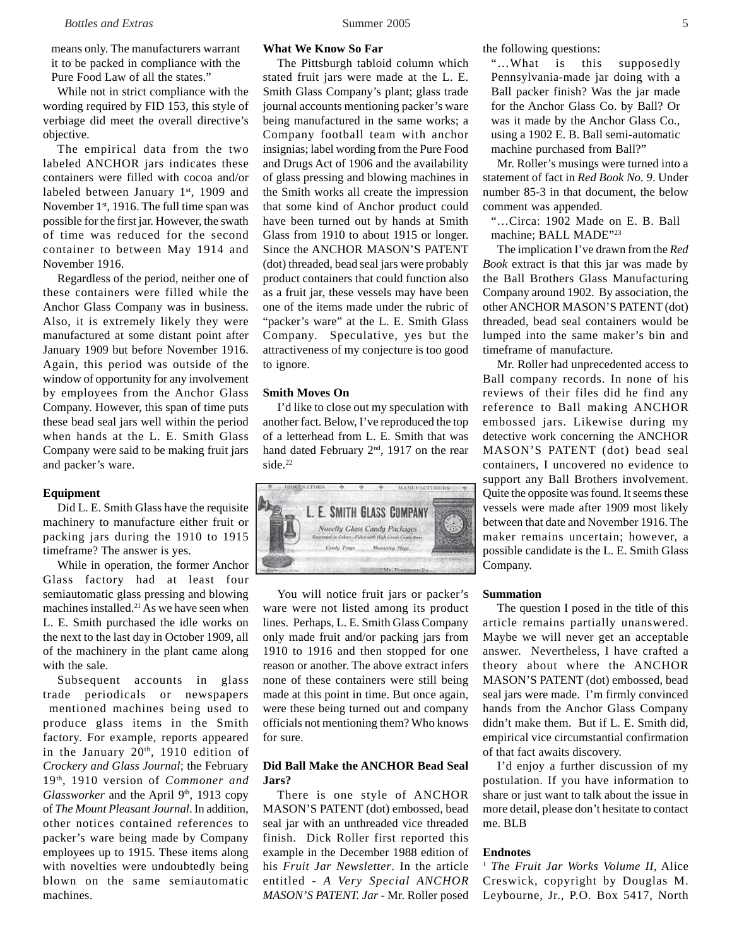means only. The manufacturers warrant it to be packed in compliance with the Pure Food Law of all the states."

While not in strict compliance with the wording required by FID 153, this style of verbiage did meet the overall directive's objective.

The empirical data from the two labeled ANCHOR jars indicates these containers were filled with cocoa and/or labeled between January 1st, 1909 and November 1<sup>st</sup>, 1916. The full time span was possible for the first jar. However, the swath of time was reduced for the second container to between May 1914 and November 1916.

Regardless of the period, neither one of these containers were filled while the Anchor Glass Company was in business. Also, it is extremely likely they were manufactured at some distant point after January 1909 but before November 1916. Again, this period was outside of the window of opportunity for any involvement by employees from the Anchor Glass Company. However, this span of time puts these bead seal jars well within the period when hands at the L. E. Smith Glass Company were said to be making fruit jars and packer's ware.

# **Equipment**

Did L. E. Smith Glass have the requisite machinery to manufacture either fruit or packing jars during the 1910 to 1915 timeframe? The answer is yes.

While in operation, the former Anchor Glass factory had at least four semiautomatic glass pressing and blowing machines installed.21 As we have seen when L. E. Smith purchased the idle works on the next to the last day in October 1909, all of the machinery in the plant came along with the sale.

Subsequent accounts in glass trade periodicals or newspapers mentioned machines being used to produce glass items in the Smith factory. For example, reports appeared in the January  $20<sup>th</sup>$ , 1910 edition of *Crockery and Glass Journal*; the February 19th, 1910 version of *Commoner and Glassworker* and the April 9<sup>th</sup>, 1913 copy of *The Mount Pleasant Journal*. In addition, other notices contained references to packer's ware being made by Company employees up to 1915. These items along with novelties were undoubtedly being blown on the same semiautomatic machines.

# **What We Know So Far**

The Pittsburgh tabloid column which stated fruit jars were made at the L. E. Smith Glass Company's plant; glass trade journal accounts mentioning packer's ware being manufactured in the same works; a Company football team with anchor insignias; label wording from the Pure Food and Drugs Act of 1906 and the availability of glass pressing and blowing machines in the Smith works all create the impression that some kind of Anchor product could have been turned out by hands at Smith Glass from 1910 to about 1915 or longer. Since the ANCHOR MASON'S PATENT (dot) threaded, bead seal jars were probably product containers that could function also as a fruit jar, these vessels may have been one of the items made under the rubric of "packer's ware" at the L. E. Smith Glass Company. Speculative, yes but the attractiveness of my conjecture is too good to ignore.

# **Smith Moves On**

I'd like to close out my speculation with another fact. Below, I've reproduced the top of a letterhead from L. E. Smith that was hand dated February 2<sup>nd</sup>, 1917 on the rear side.<sup>22</sup>



You will notice fruit jars or packer's ware were not listed among its product lines. Perhaps, L. E. Smith Glass Company only made fruit and/or packing jars from 1910 to 1916 and then stopped for one reason or another. The above extract infers none of these containers were still being made at this point in time. But once again, were these being turned out and company officials not mentioning them? Who knows for sure.

# **Did Ball Make the ANCHOR Bead Seal Jars?**

There is one style of ANCHOR MASON'S PATENT (dot) embossed, bead seal jar with an unthreaded vice threaded finish. Dick Roller first reported this example in the December 1988 edition of his *Fruit Jar Newsletter*. In the article entitled - *A Very Special ANCHOR MASON'S PATENT. Jar* - Mr. Roller posed the following questions:

"…What is this supposedly Pennsylvania-made jar doing with a Ball packer finish? Was the jar made for the Anchor Glass Co. by Ball? Or was it made by the Anchor Glass Co., using a 1902 E. B. Ball semi-automatic machine purchased from Ball?"

Mr. Roller's musings were turned into a statement of fact in *Red Book No. 9*. Under number 85-3 in that document, the below comment was appended.

"…Circa: 1902 Made on E. B. Ball machine; BALL MADE"23

The implication I've drawn from the *Red Book* extract is that this jar was made by the Ball Brothers Glass Manufacturing Company around 1902. By association, the other ANCHOR MASON'S PATENT (dot) threaded, bead seal containers would be lumped into the same maker's bin and timeframe of manufacture.

Mr. Roller had unprecedented access to Ball company records. In none of his reviews of their files did he find any reference to Ball making ANCHOR embossed jars. Likewise during my detective work concerning the ANCHOR MASON'S PATENT (dot) bead seal containers, I uncovered no evidence to support any Ball Brothers involvement. Quite the opposite was found. It seems these vessels were made after 1909 most likely between that date and November 1916. The maker remains uncertain; however, a possible candidate is the L. E. Smith Glass Company.

#### **Summation**

The question I posed in the title of this article remains partially unanswered. Maybe we will never get an acceptable answer. Nevertheless, I have crafted a theory about where the ANCHOR MASON'S PATENT (dot) embossed, bead seal jars were made. I'm firmly convinced hands from the Anchor Glass Company didn't make them. But if L. E. Smith did, empirical vice circumstantial confirmation of that fact awaits discovery.

I'd enjoy a further discussion of my postulation. If you have information to share or just want to talk about the issue in more detail, please don't hesitate to contact me. BLB

# **Endnotes**

<sup>1</sup> *The Fruit Jar Works Volume II*, Alice Creswick, copyright by Douglas M. Leybourne, Jr., P.O. Box 5417, North